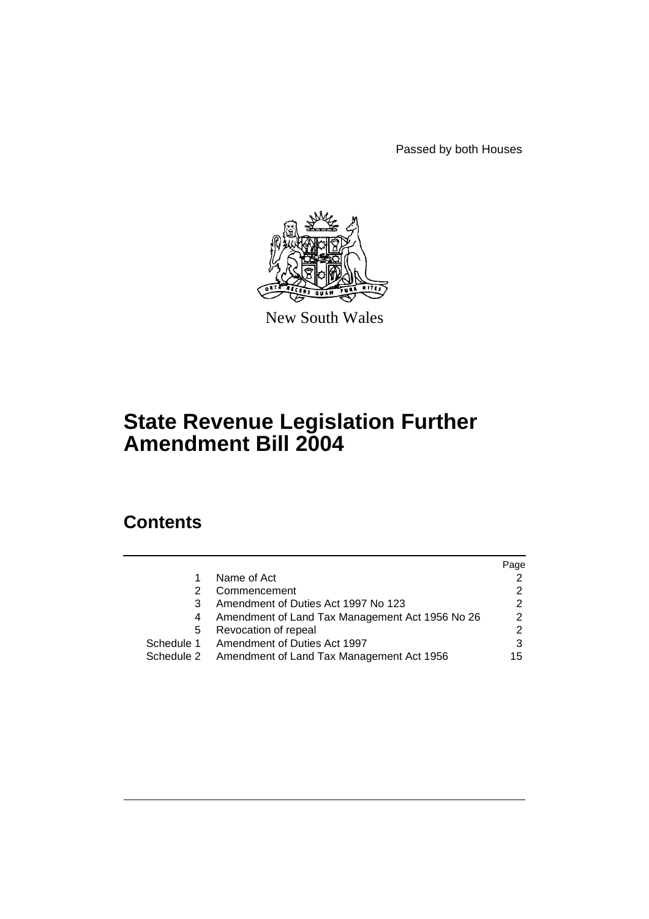Passed by both Houses



New South Wales

# **State Revenue Legislation Further Amendment Bill 2004**

# **Contents**

|            |                                                      | Page          |
|------------|------------------------------------------------------|---------------|
|            | Name of Act                                          |               |
|            | Commencement                                         |               |
| 3          | Amendment of Duties Act 1997 No 123                  | 2             |
|            | Amendment of Land Tax Management Act 1956 No 26      | $\mathcal{P}$ |
| b          | Revocation of repeal                                 | 2             |
| Schedule 1 | Amendment of Duties Act 1997                         | 3             |
|            | Schedule 2 Amendment of Land Tax Management Act 1956 | 15            |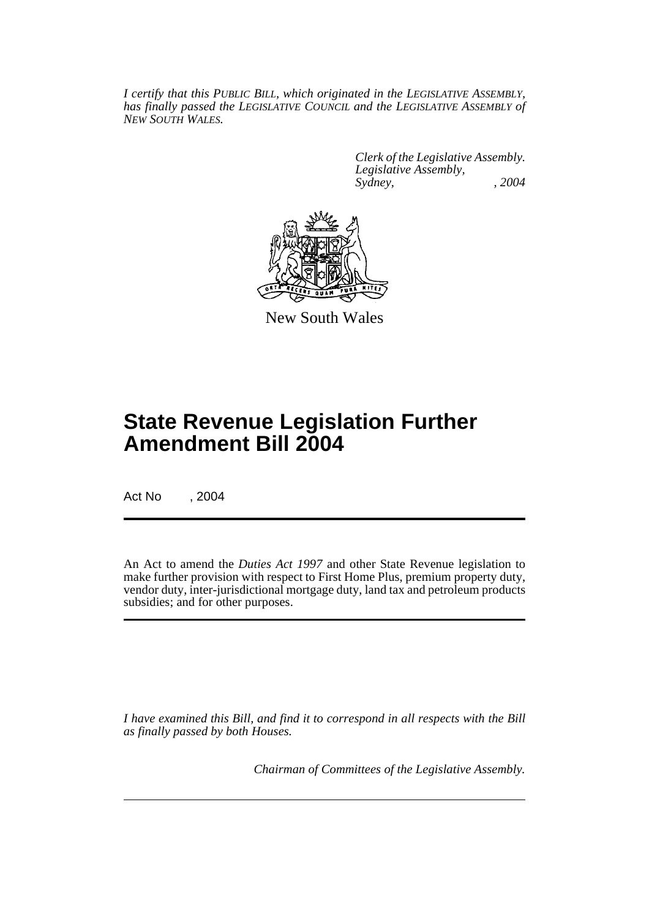*I certify that this PUBLIC BILL, which originated in the LEGISLATIVE ASSEMBLY, has finally passed the LEGISLATIVE COUNCIL and the LEGISLATIVE ASSEMBLY of NEW SOUTH WALES.*

> *Clerk of the Legislative Assembly. Legislative Assembly, Sydney, , 2004*



New South Wales

# **State Revenue Legislation Further Amendment Bill 2004**

Act No , 2004

An Act to amend the *Duties Act 1997* and other State Revenue legislation to make further provision with respect to First Home Plus, premium property duty, vendor duty, inter-jurisdictional mortgage duty, land tax and petroleum products subsidies; and for other purposes.

*I have examined this Bill, and find it to correspond in all respects with the Bill as finally passed by both Houses.*

*Chairman of Committees of the Legislative Assembly.*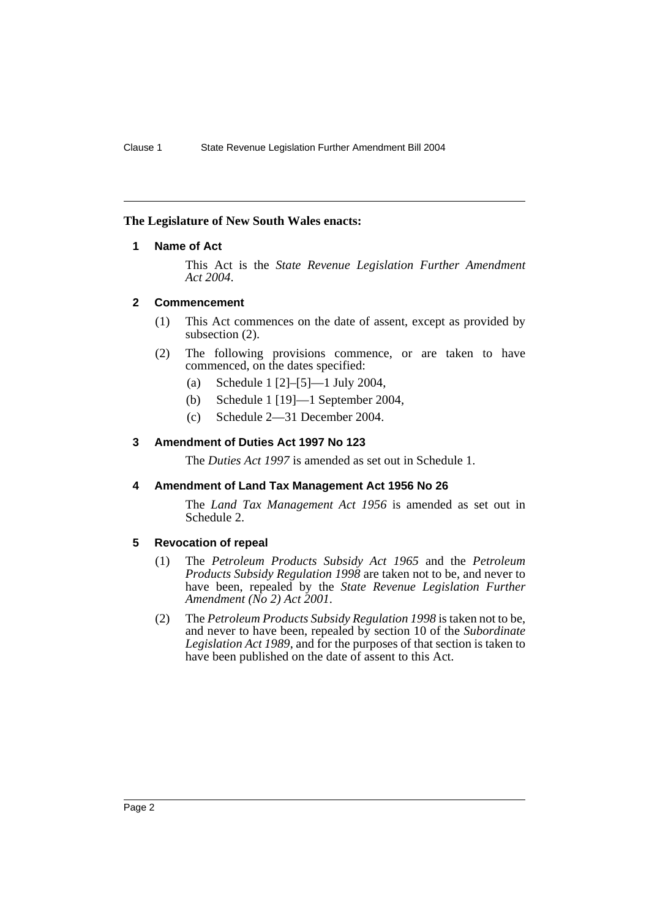## **The Legislature of New South Wales enacts:**

## **1 Name of Act**

This Act is the *State Revenue Legislation Further Amendment Act 2004*.

## **2 Commencement**

- (1) This Act commences on the date of assent, except as provided by subsection (2).
- (2) The following provisions commence, or are taken to have commenced, on the dates specified:
	- (a) Schedule 1 [2]–[5]—1 July 2004,
	- (b) Schedule 1 [19]—1 September 2004,
	- (c) Schedule 2—31 December 2004.

## **3 Amendment of Duties Act 1997 No 123**

The *Duties Act 1997* is amended as set out in Schedule 1.

## **4 Amendment of Land Tax Management Act 1956 No 26**

The *Land Tax Management Act 1956* is amended as set out in Schedule 2.

## **5 Revocation of repeal**

- (1) The *Petroleum Products Subsidy Act 1965* and the *Petroleum Products Subsidy Regulation 1998* are taken not to be, and never to have been, repealed by the *State Revenue Legislation Further Amendment (No 2) Act 2001*.
- (2) The *Petroleum Products Subsidy Regulation 1998* is taken not to be, and never to have been, repealed by section 10 of the *Subordinate Legislation Act 1989*, and for the purposes of that section is taken to have been published on the date of assent to this Act.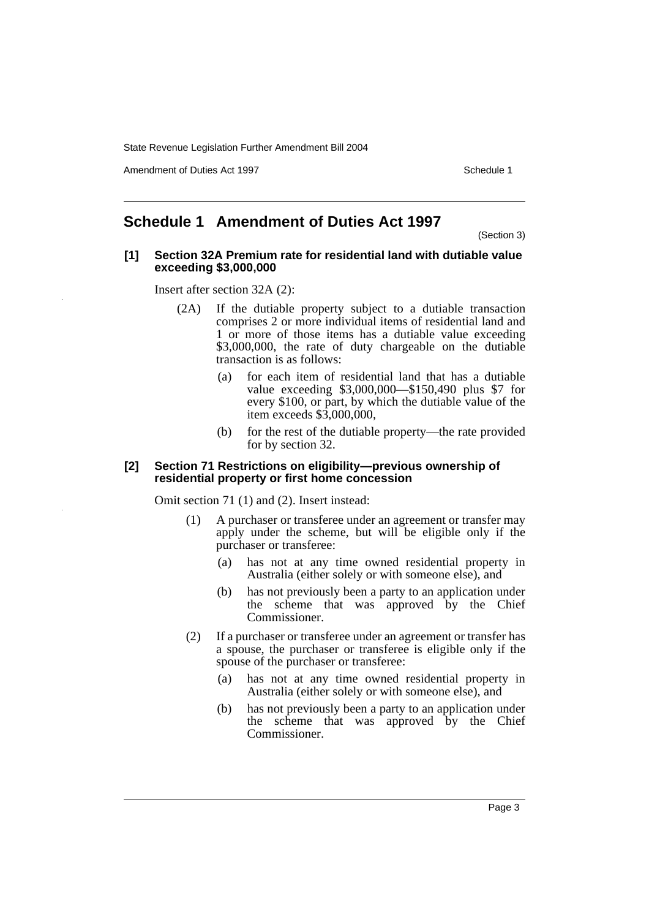Amendment of Duties Act 1997 New York 1997 New York 1997 New York 1997

## **Schedule 1 Amendment of Duties Act 1997**

(Section 3)

#### **[1] Section 32A Premium rate for residential land with dutiable value exceeding \$3,000,000**

Insert after section 32A (2):

- (2A) If the dutiable property subject to a dutiable transaction comprises 2 or more individual items of residential land and 1 or more of those items has a dutiable value exceeding \$3,000,000, the rate of duty chargeable on the dutiable transaction is as follows:
	- (a) for each item of residential land that has a dutiable value exceeding \$3,000,000—\$150,490 plus \$7 for every \$100, or part, by which the dutiable value of the item exceeds \$3,000,000,
	- (b) for the rest of the dutiable property—the rate provided for by section 32.

#### **[2] Section 71 Restrictions on eligibility—previous ownership of residential property or first home concession**

Omit section 71 (1) and (2). Insert instead:

- (1) A purchaser or transferee under an agreement or transfer may apply under the scheme, but will be eligible only if the purchaser or transferee:
	- (a) has not at any time owned residential property in Australia (either solely or with someone else), and
	- (b) has not previously been a party to an application under the scheme that was approved by the Chief Commissioner.
- (2) If a purchaser or transferee under an agreement or transfer has a spouse, the purchaser or transferee is eligible only if the spouse of the purchaser or transferee:
	- (a) has not at any time owned residential property in Australia (either solely or with someone else), and
	- (b) has not previously been a party to an application under the scheme that was approved by the Chief Commissioner.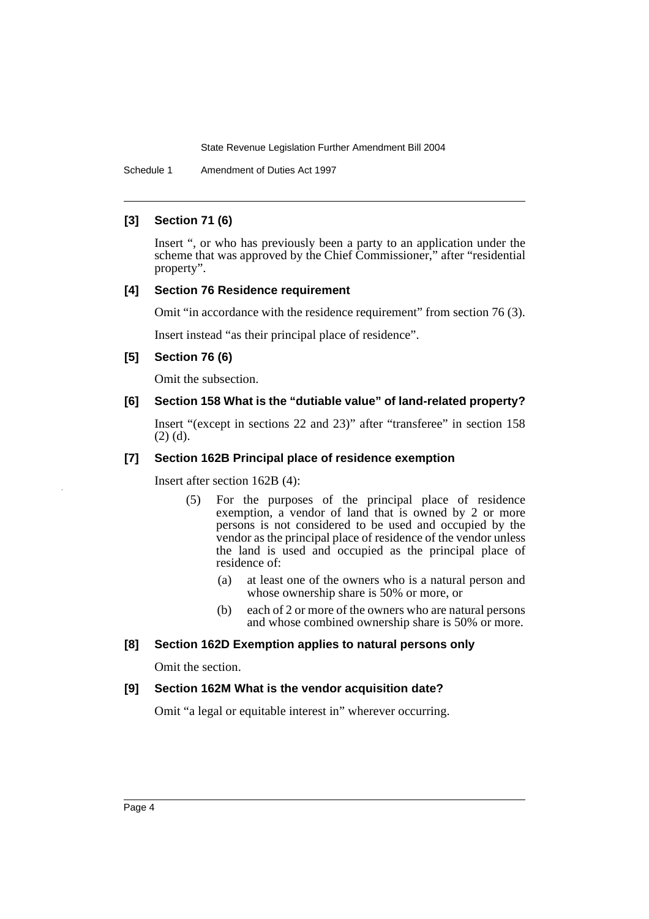Schedule 1 Amendment of Duties Act 1997

## **[3] Section 71 (6)**

Insert ", or who has previously been a party to an application under the scheme that was approved by the Chief Commissioner," after "residential property".

## **[4] Section 76 Residence requirement**

Omit "in accordance with the residence requirement" from section 76 (3).

Insert instead "as their principal place of residence".

#### **[5] Section 76 (6)**

Omit the subsection.

## **[6] Section 158 What is the "dutiable value" of land-related property?**

Insert "(except in sections 22 and 23)" after "transferee" in section 158 (2) (d).

## **[7] Section 162B Principal place of residence exemption**

Insert after section 162B (4):

- (5) For the purposes of the principal place of residence exemption, a vendor of land that is owned by 2 or more persons is not considered to be used and occupied by the vendor as the principal place of residence of the vendor unless the land is used and occupied as the principal place of residence of:
	- (a) at least one of the owners who is a natural person and whose ownership share is 50% or more, or
	- (b) each of 2 or more of the owners who are natural persons and whose combined ownership share is 50% or more.

## **[8] Section 162D Exemption applies to natural persons only**

Omit the section.

## **[9] Section 162M What is the vendor acquisition date?**

Omit "a legal or equitable interest in" wherever occurring.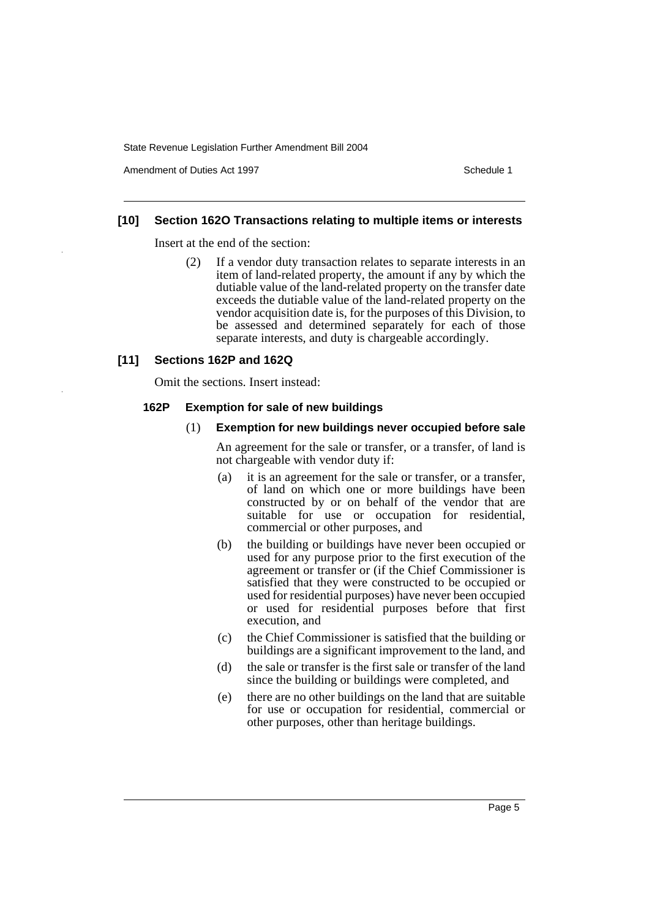Amendment of Duties Act 1997 New York 1997 New York 1997 New York 1997

#### **[10] Section 162O Transactions relating to multiple items or interests**

Insert at the end of the section:

(2) If a vendor duty transaction relates to separate interests in an item of land-related property, the amount if any by which the dutiable value of the land-related property on the transfer date exceeds the dutiable value of the land-related property on the vendor acquisition date is, for the purposes of this Division, to be assessed and determined separately for each of those separate interests, and duty is chargeable accordingly.

## **[11] Sections 162P and 162Q**

Omit the sections. Insert instead:

#### **162P Exemption for sale of new buildings**

#### (1) **Exemption for new buildings never occupied before sale**

An agreement for the sale or transfer, or a transfer, of land is not chargeable with vendor duty if:

- (a) it is an agreement for the sale or transfer, or a transfer, of land on which one or more buildings have been constructed by or on behalf of the vendor that are suitable for use or occupation for residential, commercial or other purposes, and
- (b) the building or buildings have never been occupied or used for any purpose prior to the first execution of the agreement or transfer or (if the Chief Commissioner is satisfied that they were constructed to be occupied or used for residential purposes) have never been occupied or used for residential purposes before that first execution, and
- (c) the Chief Commissioner is satisfied that the building or buildings are a significant improvement to the land, and
- (d) the sale or transfer is the first sale or transfer of the land since the building or buildings were completed, and
- (e) there are no other buildings on the land that are suitable for use or occupation for residential, commercial or other purposes, other than heritage buildings.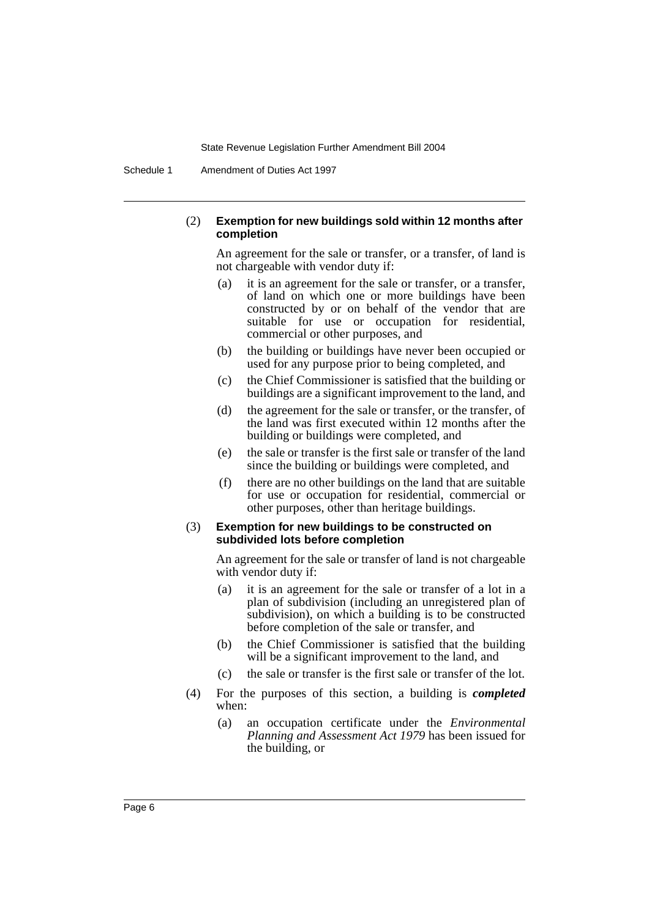Schedule 1 Amendment of Duties Act 1997

#### (2) **Exemption for new buildings sold within 12 months after completion**

An agreement for the sale or transfer, or a transfer, of land is not chargeable with vendor duty if:

- (a) it is an agreement for the sale or transfer, or a transfer, of land on which one or more buildings have been constructed by or on behalf of the vendor that are suitable for use or occupation for residential, commercial or other purposes, and
- (b) the building or buildings have never been occupied or used for any purpose prior to being completed, and
- (c) the Chief Commissioner is satisfied that the building or buildings are a significant improvement to the land, and
- (d) the agreement for the sale or transfer, or the transfer, of the land was first executed within 12 months after the building or buildings were completed, and
- (e) the sale or transfer is the first sale or transfer of the land since the building or buildings were completed, and
- (f) there are no other buildings on the land that are suitable for use or occupation for residential, commercial or other purposes, other than heritage buildings.

#### (3) **Exemption for new buildings to be constructed on subdivided lots before completion**

An agreement for the sale or transfer of land is not chargeable with vendor duty if:

- (a) it is an agreement for the sale or transfer of a lot in a plan of subdivision (including an unregistered plan of subdivision), on which a building is to be constructed before completion of the sale or transfer, and
- (b) the Chief Commissioner is satisfied that the building will be a significant improvement to the land, and
- (c) the sale or transfer is the first sale or transfer of the lot.
- (4) For the purposes of this section, a building is *completed* when:
	- (a) an occupation certificate under the *Environmental Planning and Assessment Act 1979* has been issued for the building, or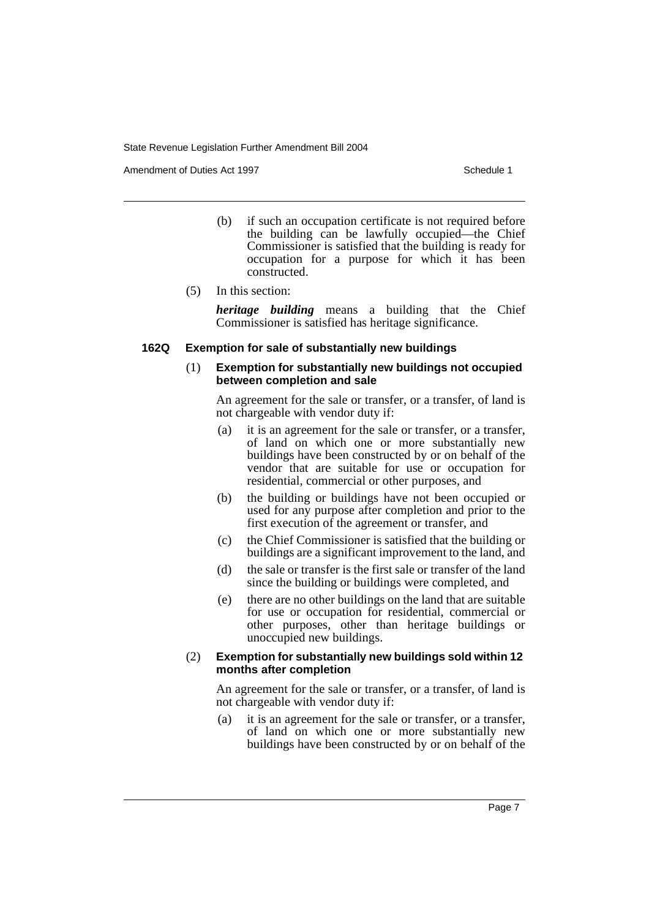Amendment of Duties Act 1997 New York 1997 New York 1997 New York 1997

- (b) if such an occupation certificate is not required before the building can be lawfully occupied—the Chief Commissioner is satisfied that the building is ready for occupation for a purpose for which it has been constructed.
- (5) In this section:

*heritage building* means a building that the Chief Commissioner is satisfied has heritage significance.

#### **162Q Exemption for sale of substantially new buildings**

#### (1) **Exemption for substantially new buildings not occupied between completion and sale**

An agreement for the sale or transfer, or a transfer, of land is not chargeable with vendor duty if:

- (a) it is an agreement for the sale or transfer, or a transfer, of land on which one or more substantially new buildings have been constructed by or on behalf of the vendor that are suitable for use or occupation for residential, commercial or other purposes, and
- (b) the building or buildings have not been occupied or used for any purpose after completion and prior to the first execution of the agreement or transfer, and
- (c) the Chief Commissioner is satisfied that the building or buildings are a significant improvement to the land, and
- (d) the sale or transfer is the first sale or transfer of the land since the building or buildings were completed, and
- (e) there are no other buildings on the land that are suitable for use or occupation for residential, commercial or other purposes, other than heritage buildings or unoccupied new buildings.

#### (2) **Exemption for substantially new buildings sold within 12 months after completion**

An agreement for the sale or transfer, or a transfer, of land is not chargeable with vendor duty if:

(a) it is an agreement for the sale or transfer, or a transfer, of land on which one or more substantially new buildings have been constructed by or on behalf of the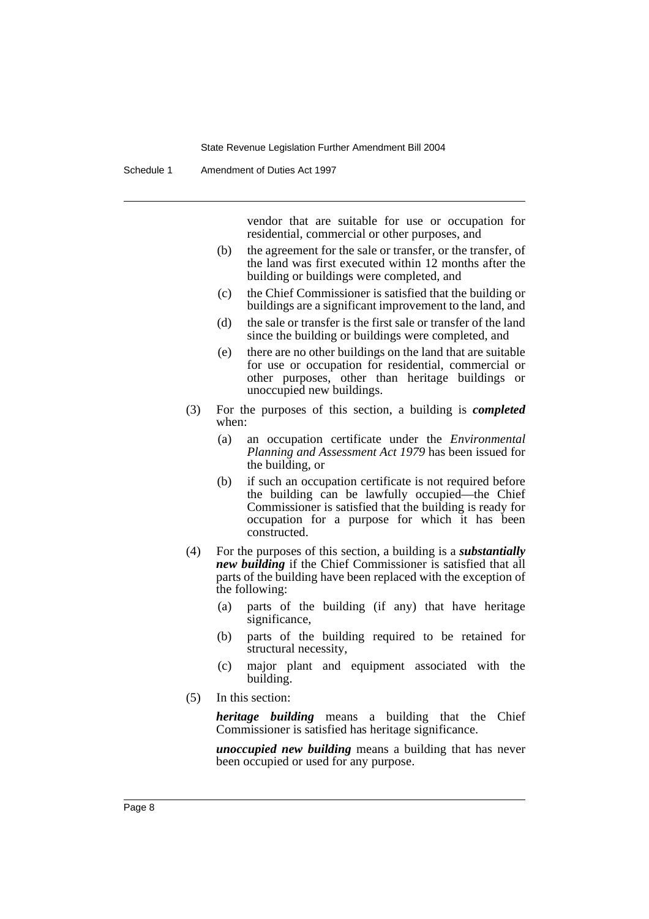vendor that are suitable for use or occupation for residential, commercial or other purposes, and

- (b) the agreement for the sale or transfer, or the transfer, of the land was first executed within 12 months after the building or buildings were completed, and
- (c) the Chief Commissioner is satisfied that the building or buildings are a significant improvement to the land, and
- (d) the sale or transfer is the first sale or transfer of the land since the building or buildings were completed, and
- (e) there are no other buildings on the land that are suitable for use or occupation for residential, commercial or other purposes, other than heritage buildings or unoccupied new buildings.
- (3) For the purposes of this section, a building is *completed* when:
	- (a) an occupation certificate under the *Environmental Planning and Assessment Act 1979* has been issued for the building, or
	- (b) if such an occupation certificate is not required before the building can be lawfully occupied—the Chief Commissioner is satisfied that the building is ready for occupation for a purpose for which it has been constructed.
- (4) For the purposes of this section, a building is a *substantially new building* if the Chief Commissioner is satisfied that all parts of the building have been replaced with the exception of the following:
	- (a) parts of the building (if any) that have heritage significance,
	- (b) parts of the building required to be retained for structural necessity,
	- (c) major plant and equipment associated with the building.
- (5) In this section:

*heritage building* means a building that the Chief Commissioner is satisfied has heritage significance.

*unoccupied new building* means a building that has never been occupied or used for any purpose.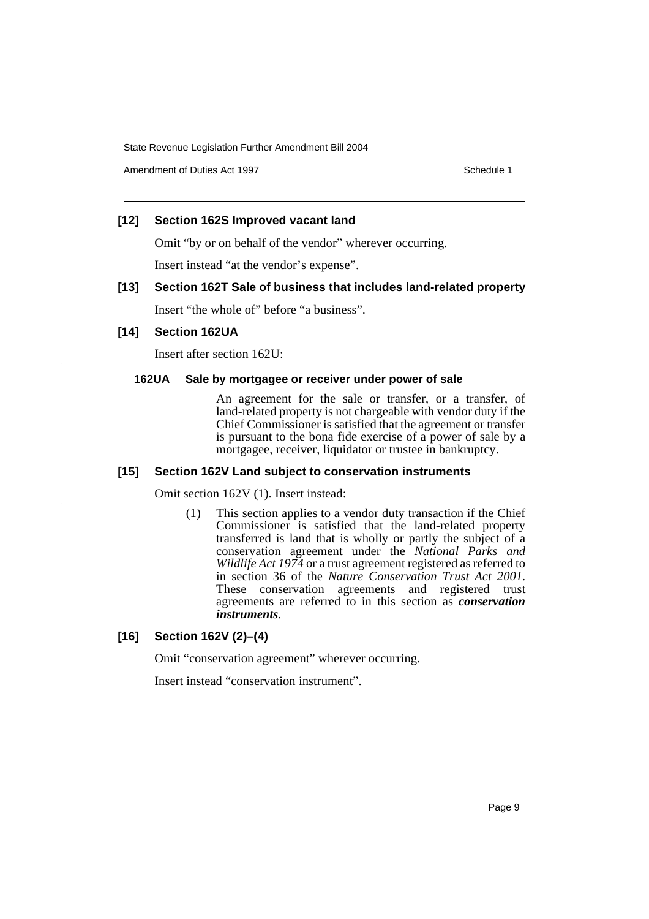Amendment of Duties Act 1997 New York 1997 New York 1997 New York 1997

## **[12] Section 162S Improved vacant land**

Omit "by or on behalf of the vendor" wherever occurring.

Insert instead "at the vendor's expense".

## **[13] Section 162T Sale of business that includes land-related property**

Insert "the whole of" before "a business".

## **[14] Section 162UA**

Insert after section 162U:

#### **162UA Sale by mortgagee or receiver under power of sale**

An agreement for the sale or transfer, or a transfer, of land-related property is not chargeable with vendor duty if the Chief Commissioner is satisfied that the agreement or transfer is pursuant to the bona fide exercise of a power of sale by a mortgagee, receiver, liquidator or trustee in bankruptcy.

#### **[15] Section 162V Land subject to conservation instruments**

Omit section 162V (1). Insert instead:

(1) This section applies to a vendor duty transaction if the Chief Commissioner is satisfied that the land-related property transferred is land that is wholly or partly the subject of a conservation agreement under the *National Parks and Wildlife Act 1974* or a trust agreement registered as referred to in section 36 of the *Nature Conservation Trust Act 2001*. These conservation agreements and registered trust agreements are referred to in this section as *conservation instruments*.

## **[16] Section 162V (2)–(4)**

Omit "conservation agreement" wherever occurring.

Insert instead "conservation instrument".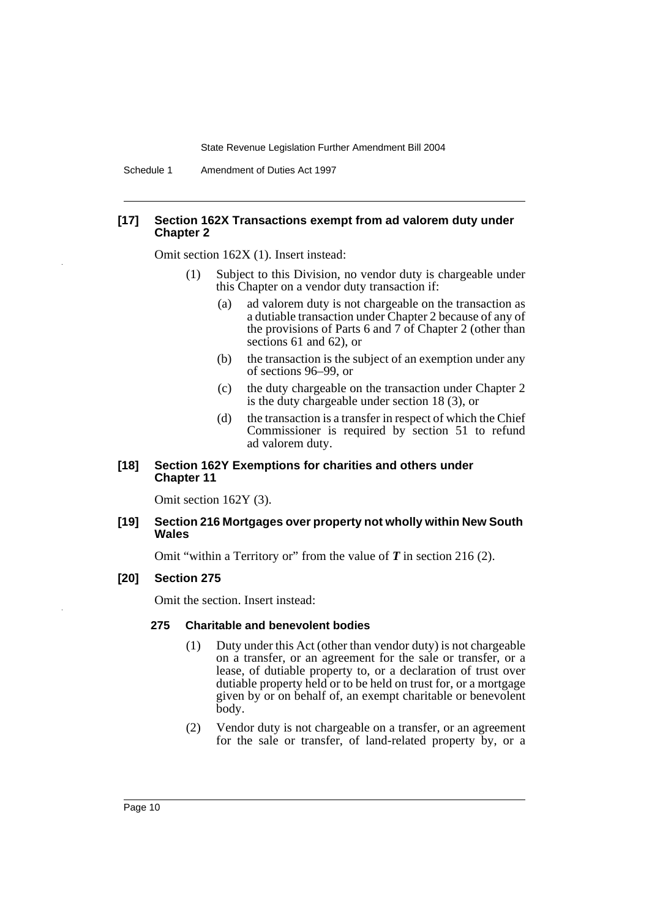Schedule 1 Amendment of Duties Act 1997

#### **[17] Section 162X Transactions exempt from ad valorem duty under Chapter 2**

Omit section 162X (1). Insert instead:

- (1) Subject to this Division, no vendor duty is chargeable under this Chapter on a vendor duty transaction if:
	- (a) ad valorem duty is not chargeable on the transaction as a dutiable transaction under Chapter 2 because of any of the provisions of Parts 6 and 7 of Chapter 2 (other than sections 61 and 62), or
	- (b) the transaction is the subject of an exemption under any of sections 96–99, or
	- (c) the duty chargeable on the transaction under Chapter 2 is the duty chargeable under section 18 (3), or
	- (d) the transaction is a transfer in respect of which the Chief Commissioner is required by section 51 to refund ad valorem duty.

## **[18] Section 162Y Exemptions for charities and others under Chapter 11**

Omit section 162Y (3).

#### **[19] Section 216 Mortgages over property not wholly within New South Wales**

Omit "within a Territory or" from the value of *T* in section 216 (2).

#### **[20] Section 275**

Omit the section. Insert instead:

#### **275 Charitable and benevolent bodies**

- (1) Duty under this Act (other than vendor duty) is not chargeable on a transfer, or an agreement for the sale or transfer, or a lease, of dutiable property to, or a declaration of trust over dutiable property held or to be held on trust for, or a mortgage given by or on behalf of, an exempt charitable or benevolent body.
- (2) Vendor duty is not chargeable on a transfer, or an agreement for the sale or transfer, of land-related property by, or a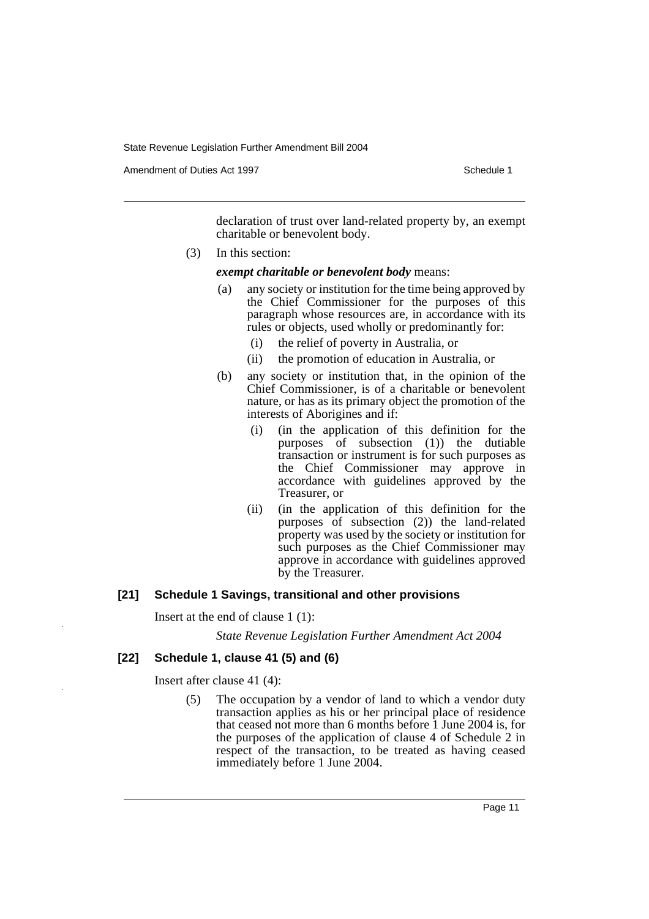Amendment of Duties Act 1997 New York 1997 New York 1997 New York 1997

declaration of trust over land-related property by, an exempt charitable or benevolent body.

(3) In this section:

#### *exempt charitable or benevolent body* means:

- (a) any society or institution for the time being approved by the Chief Commissioner for the purposes of this paragraph whose resources are, in accordance with its rules or objects, used wholly or predominantly for:
	- (i) the relief of poverty in Australia, or
	- (ii) the promotion of education in Australia, or
- (b) any society or institution that, in the opinion of the Chief Commissioner, is of a charitable or benevolent nature, or has as its primary object the promotion of the interests of Aborigines and if:
	- (i) (in the application of this definition for the purposes of subsection  $(1)$ ) the dutiable transaction or instrument is for such purposes as the Chief Commissioner may approve in accordance with guidelines approved by the Treasurer, or
	- (ii) (in the application of this definition for the purposes of subsection (2)) the land-related property was used by the society or institution for such purposes as the Chief Commissioner may approve in accordance with guidelines approved by the Treasurer.

#### **[21] Schedule 1 Savings, transitional and other provisions**

Insert at the end of clause 1 (1):

*State Revenue Legislation Further Amendment Act 2004*

## **[22] Schedule 1, clause 41 (5) and (6)**

Insert after clause 41 (4):

(5) The occupation by a vendor of land to which a vendor duty transaction applies as his or her principal place of residence that ceased not more than 6 months before 1 June 2004 is, for the purposes of the application of clause 4 of Schedule 2 in respect of the transaction, to be treated as having ceased immediately before 1 June 2004.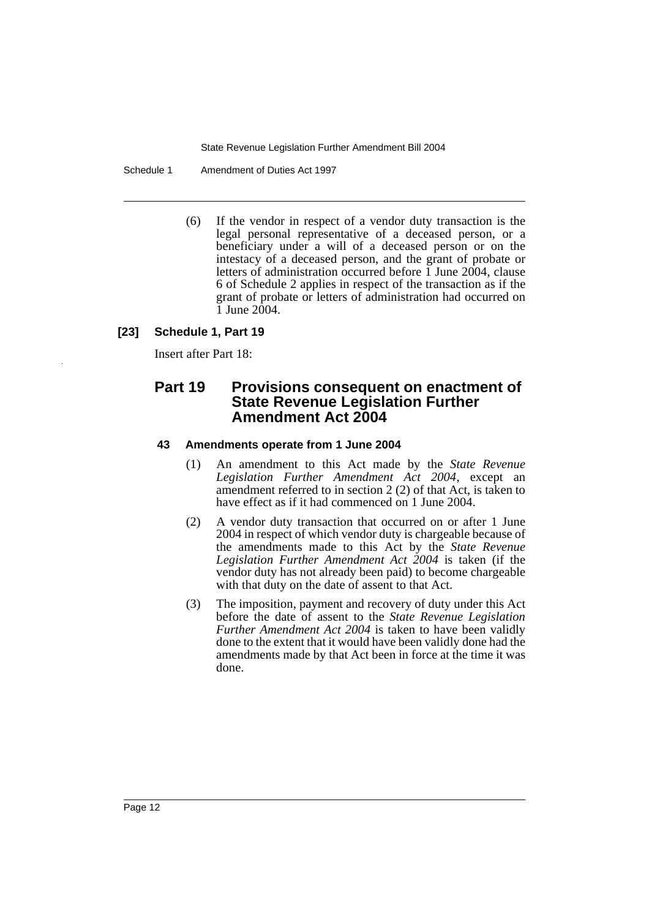Schedule 1 Amendment of Duties Act 1997

(6) If the vendor in respect of a vendor duty transaction is the legal personal representative of a deceased person, or a beneficiary under a will of a deceased person or on the intestacy of a deceased person, and the grant of probate or letters of administration occurred before 1 June 2004, clause 6 of Schedule 2 applies in respect of the transaction as if the grant of probate or letters of administration had occurred on 1 June 2004.

## **[23] Schedule 1, Part 19**

Insert after Part 18:

## **Part 19 Provisions consequent on enactment of State Revenue Legislation Further Amendment Act 2004**

## **43 Amendments operate from 1 June 2004**

- (1) An amendment to this Act made by the *State Revenue Legislation Further Amendment Act 2004*, except an amendment referred to in section 2 (2) of that Act, is taken to have effect as if it had commenced on 1 June 2004.
- (2) A vendor duty transaction that occurred on or after 1 June 2004 in respect of which vendor duty is chargeable because of the amendments made to this Act by the *State Revenue Legislation Further Amendment Act 2004* is taken (if the vendor duty has not already been paid) to become chargeable with that duty on the date of assent to that Act.
- (3) The imposition, payment and recovery of duty under this Act before the date of assent to the *State Revenue Legislation Further Amendment Act 2004* is taken to have been validly done to the extent that it would have been validly done had the amendments made by that Act been in force at the time it was done.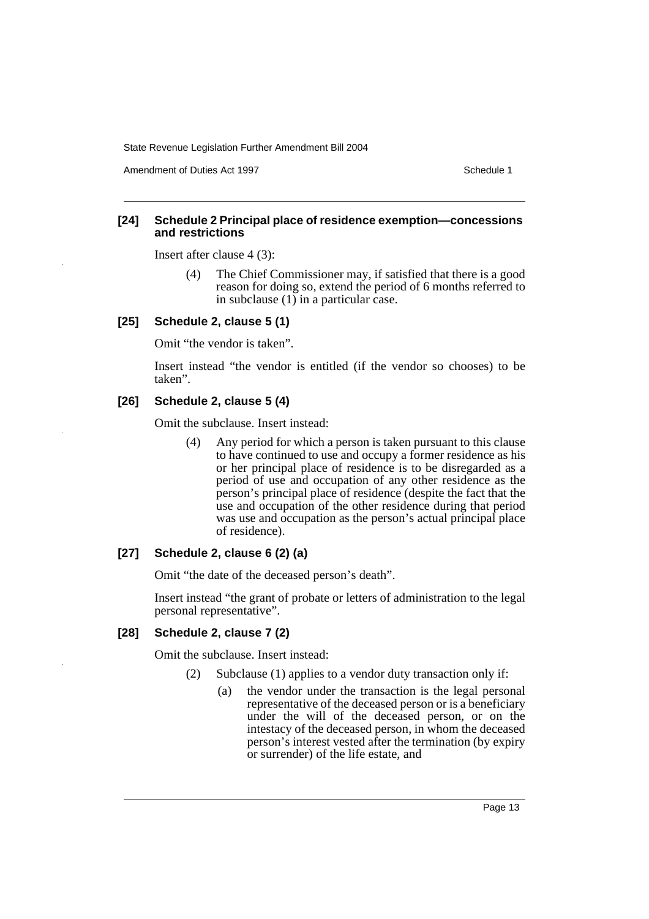Amendment of Duties Act 1997 New York 1997 New York 1997 New York 1997

### **[24] Schedule 2 Principal place of residence exemption—concessions and restrictions**

Insert after clause 4 (3):

(4) The Chief Commissioner may, if satisfied that there is a good reason for doing so, extend the period of 6 months referred to in subclause (1) in a particular case.

#### **[25] Schedule 2, clause 5 (1)**

Omit "the vendor is taken".

Insert instead "the vendor is entitled (if the vendor so chooses) to be taken".

## **[26] Schedule 2, clause 5 (4)**

Omit the subclause. Insert instead:

(4) Any period for which a person is taken pursuant to this clause to have continued to use and occupy a former residence as his or her principal place of residence is to be disregarded as a period of use and occupation of any other residence as the person's principal place of residence (despite the fact that the use and occupation of the other residence during that period was use and occupation as the person's actual principal place of residence).

## **[27] Schedule 2, clause 6 (2) (a)**

Omit "the date of the deceased person's death".

Insert instead "the grant of probate or letters of administration to the legal personal representative".

## **[28] Schedule 2, clause 7 (2)**

Omit the subclause. Insert instead:

- (2) Subclause (1) applies to a vendor duty transaction only if:
	- (a) the vendor under the transaction is the legal personal representative of the deceased person or is a beneficiary under the will of the deceased person, or on the intestacy of the deceased person, in whom the deceased person's interest vested after the termination (by expiry or surrender) of the life estate, and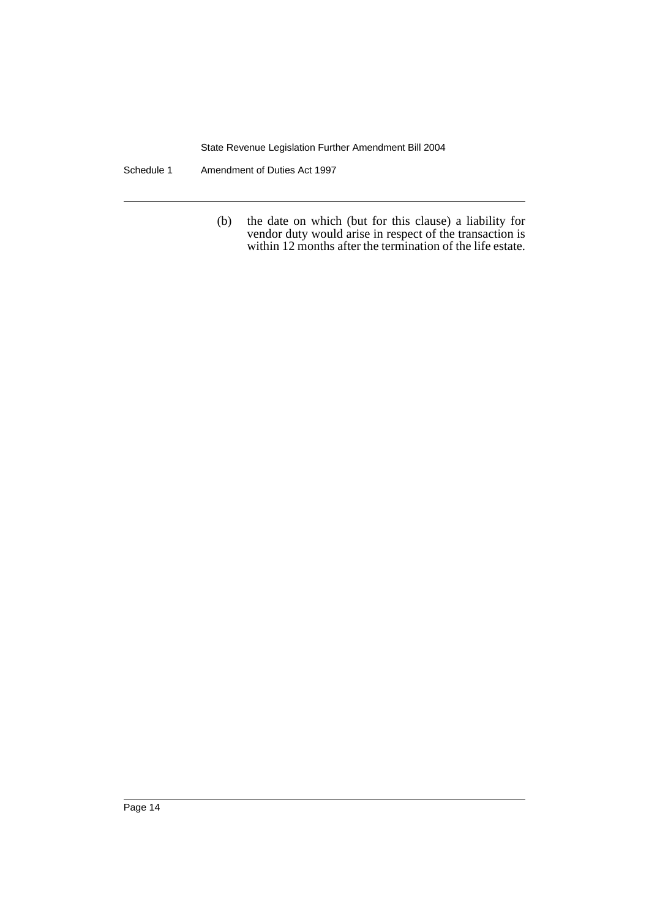Schedule 1 Amendment of Duties Act 1997

(b) the date on which (but for this clause) a liability for vendor duty would arise in respect of the transaction is within 12 months after the termination of the life estate.